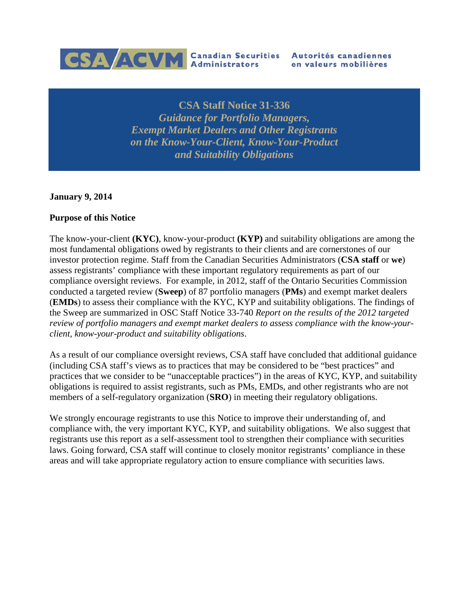# CSA ACVM Canadian Securities Autorités canadiennes

**CSA Staff Notice 31-336** *Guidance for Portfolio Managers, Exempt Market Dealers and Other Registrants on the Know-Your-Client, Know-Your-Product and Suitability Obligations* 

# **January 9, 2014**

## **Purpose of this Notice**

The know-your-client **(KYC)**, know-your-product **(KYP)** and suitability obligations are among the most fundamental obligations owed by registrants to their clients and are cornerstones of our investor protection regime. Staff from the Canadian Securities Administrators (**CSA staff** or **we**) assess registrants' compliance with these important regulatory requirements as part of our compliance oversight reviews. For example, in 2012, staff of the Ontario Securities Commission conducted a targeted review (**Sweep**) of 87 portfolio managers (**PMs**) and exempt market dealers (**EMDs**) to assess their compliance with the KYC, KYP and suitability obligations. The findings of the Sweep are summarized in OSC Staff Notice 33-740 *Report on the results of the 2012 targeted review of portfolio managers and exempt market dealers to assess compliance with the know-yourclient, know-your-product and suitability obligations*.

As a result of our compliance oversight reviews, CSA staff have concluded that additional guidance (including CSA staff's views as to practices that may be considered to be "best practices" and practices that we consider to be "unacceptable practices") in the areas of KYC, KYP, and suitability obligations is required to assist registrants, such as PMs, EMDs, and other registrants who are not members of a self-regulatory organization (**SRO**) in meeting their regulatory obligations.

We strongly encourage registrants to use this Notice to improve their understanding of, and compliance with, the very important KYC, KYP, and suitability obligations. We also suggest that registrants use this report as a self-assessment tool to strengthen their compliance with securities laws. Going forward, CSA staff will continue to closely monitor registrants' compliance in these areas and will take appropriate regulatory action to ensure compliance with securities laws.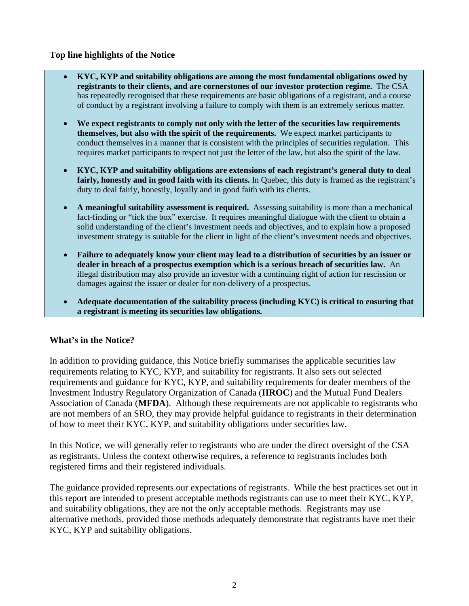# **Top line highlights of the Notice**

- **KYC, KYP and suitability obligations are among the most fundamental obligations owed by registrants to their clients, and are cornerstones of our investor protection regime.** The CSA has repeatedly recognised that these requirements are basic obligations of a registrant, and a course of conduct by a registrant involving a failure to comply with them is an extremely serious matter.
- **We expect registrants to comply not only with the letter of the securities law requirements themselves, but also with the spirit of the requirements.** We expect market participants to conduct themselves in a manner that is consistent with the principles of securities regulation. This requires market participants to respect not just the letter of the law, but also the spirit of the law.
- **KYC, KYP and suitability obligations are extensions of each registrant's general duty to deal fairly, honestly and in good faith with its clients.** In Quebec, this duty is framed as the registrant's duty to deal fairly, honestly, loyally and in good faith with its clients.
- **A meaningful suitability assessment is required.** Assessing suitability is more than a mechanical fact-finding or "tick the box" exercise. It requires meaningful dialogue with the client to obtain a solid understanding of the client's investment needs and objectives, and to explain how a proposed investment strategy is suitable for the client in light of the client's investment needs and objectives.
- **Failure to adequately know your client may lead to a distribution of securities by an issuer or dealer in breach of a prospectus exemption which is a serious breach of securities law.** An illegal distribution may also provide an investor with a continuing right of action for rescission or damages against the issuer or dealer for non-delivery of a prospectus.
- **Adequate documentation of the suitability process (including KYC) is critical to ensuring that a registrant is meeting its securities law obligations.**

# **What's in the Notice?**

In addition to providing guidance, this Notice briefly summarises the applicable securities law requirements relating to KYC, KYP, and suitability for registrants. It also sets out selected requirements and guidance for KYC, KYP, and suitability requirements for dealer members of the Investment Industry Regulatory Organization of Canada (**IIROC**) and the Mutual Fund Dealers Association of Canada (**MFDA**). Although these requirements are not applicable to registrants who are not members of an SRO, they may provide helpful guidance to registrants in their determination of how to meet their KYC, KYP, and suitability obligations under securities law.

In this Notice, we will generally refer to registrants who are under the direct oversight of the CSA as registrants. Unless the context otherwise requires, a reference to registrants includes both registered firms and their registered individuals.

The guidance provided represents our expectations of registrants. While the best practices set out in this report are intended to present acceptable methods registrants can use to meet their KYC, KYP, and suitability obligations, they are not the only acceptable methods. Registrants may use alternative methods, provided those methods adequately demonstrate that registrants have met their KYC, KYP and suitability obligations.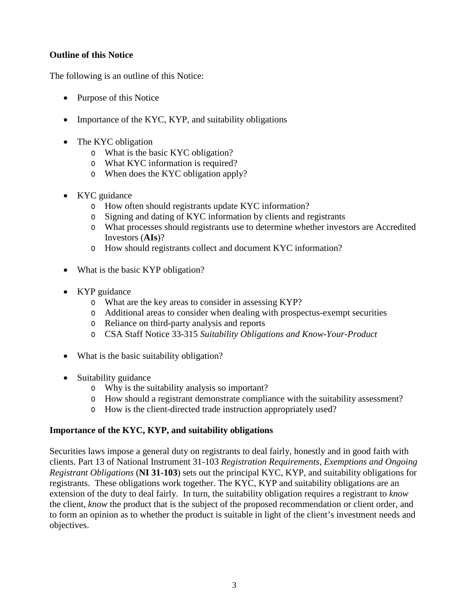# **Outline of this Notice**

The following is an outline of this Notice:

- Purpose of this Notice
- Importance of the KYC, KYP, and suitability obligations
- The KYC obligation
	- o What is the basic KYC obligation?
	- o What KYC information is required?
	- o When does the KYC obligation apply?
- KYC guidance
	- o How often should registrants update KYC information?
	- o Signing and dating of KYC information by clients and registrants
	- o What processes should registrants use to determine whether investors are Accredited Investors (**AIs**)?
	- o How should registrants collect and document KYC information?
- What is the basic KYP obligation?
- KYP guidance
	- o What are the key areas to consider in assessing KYP?
	- o Additional areas to consider when dealing with prospectus-exempt securities
	- o Reliance on third-party analysis and reports
	- o CSA Staff Notice 33-315 *Suitability Obligations and Know-Your-Product*
- What is the basic suitability obligation?
- Suitability guidance
	- o Why is the suitability analysis so important?
	- o How should a registrant demonstrate compliance with the suitability assessment?
	- o How is the client-directed trade instruction appropriately used?

## **Importance of the KYC, KYP, and suitability obligations**

Securities laws impose a general duty on registrants to deal fairly, honestly and in good faith with clients. Part 13 of National Instrument 31-103 *Registration Requirements, Exemptions and Ongoing Registrant Obligations* (**NI 31-103**) sets out the principal KYC, KYP, and suitability obligations for registrants. These obligations work together. The KYC, KYP and suitability obligations are an extension of the duty to deal fairly. In turn, the suitability obligation requires a registrant to *know* the client, *know* the product that is the subject of the proposed recommendation or client order, and to form an opinion as to whether the product is suitable in light of the client's investment needs and objectives.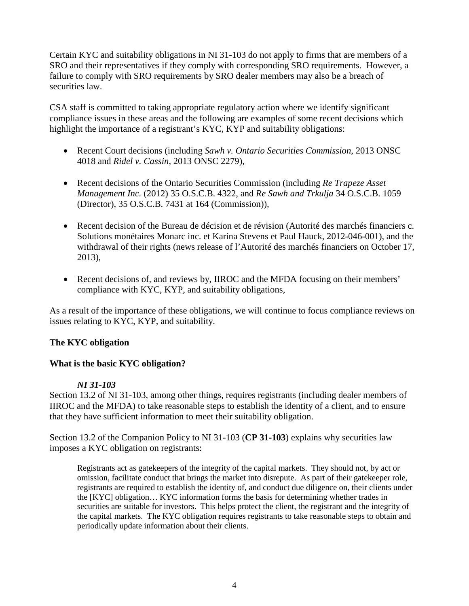Certain KYC and suitability obligations in NI 31-103 do not apply to firms that are members of a SRO and their representatives if they comply with corresponding SRO requirements. However, a failure to comply with SRO requirements by SRO dealer members may also be a breach of securities law.

CSA staff is committed to taking appropriate regulatory action where we identify significant compliance issues in these areas and the following are examples of some recent decisions which highlight the importance of a registrant's KYC, KYP and suitability obligations:

- Recent Court decisions (including *Sawh v. Ontario Securities Commission*, 2013 ONSC 4018 and *Ridel v. Cassin*, 2013 ONSC 2279),
- Recent decisions of the Ontario Securities Commission (including *Re Trapeze Asset Management Inc.* (2012) 35 O.S.C.B. 4322, and *Re Sawh and Trkulja* 34 O.S.C.B. 1059 (Director), 35 O.S.C.B. 7431 at 164 (Commission))*,*
- Recent decision of the Bureau de décision et de révision (Autorité des marchés financiers c. Solutions monétaires Monarc inc. et Karina Stevens et Paul Hauck, 2012-046-001), and the withdrawal of their rights (news release of l'Autorité des marchés financiers on October 17, 2013),
- Recent decisions of, and reviews by, IIROC and the MFDA focusing on their members' compliance with KYC, KYP, and suitability obligations,

As a result of the importance of these obligations, we will continue to focus compliance reviews on issues relating to KYC, KYP, and suitability.

## **The KYC obligation**

# **What is the basic KYC obligation?**

## *NI 31-103*

Section 13.2 of NI 31-103, among other things, requires registrants (including dealer members of IIROC and the MFDA) to take reasonable steps to establish the identity of a client, and to ensure that they have sufficient information to meet their suitability obligation.

Section 13.2 of the Companion Policy to NI 31-103 (**CP 31-103**) explains why securities law imposes a KYC obligation on registrants:

Registrants act as gatekeepers of the integrity of the capital markets. They should not, by act or omission, facilitate conduct that brings the market into disrepute. As part of their gatekeeper role, registrants are required to establish the identity of, and conduct due diligence on, their clients under the [KYC] obligation… KYC information forms the basis for determining whether trades in securities are suitable for investors. This helps protect the client, the registrant and the integrity of the capital markets. The KYC obligation requires registrants to take reasonable steps to obtain and periodically update information about their clients.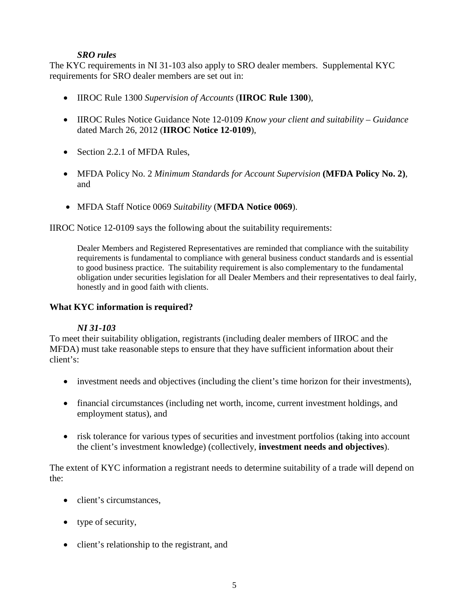# *SRO rules*

The KYC requirements in NI 31-103 also apply to SRO dealer members. Supplemental KYC requirements for SRO dealer members are set out in:

- IIROC Rule 1300 *Supervision of Accounts* (**IIROC Rule 1300**),
- IIROC Rules Notice Guidance Note 12-0109 *Know your client and suitability – Guidance* dated March 26, 2012 (**IIROC Notice 12-0109**),
- Section 2.2.1 of MFDA Rules,
- MFDA Policy No. 2 *Minimum Standards for Account Supervision* **(MFDA Policy No. 2)**, and
- MFDA Staff Notice 0069 *Suitability* (**MFDA Notice 0069**).

IIROC Notice 12-0109 says the following about the suitability requirements:

Dealer Members and Registered Representatives are reminded that compliance with the suitability requirements is fundamental to compliance with general business conduct standards and is essential to good business practice. The suitability requirement is also complementary to the fundamental obligation under securities legislation for all Dealer Members and their representatives to deal fairly, honestly and in good faith with clients.

# **What KYC information is required?**

# *NI 31-103*

To meet their suitability obligation, registrants (including dealer members of IIROC and the MFDA) must take reasonable steps to ensure that they have sufficient information about their client's:

- investment needs and objectives (including the client's time horizon for their investments),
- financial circumstances (including net worth, income, current investment holdings, and employment status), and
- risk tolerance for various types of securities and investment portfolios (taking into account the client's investment knowledge) (collectively, **investment needs and objectives**).

The extent of KYC information a registrant needs to determine suitability of a trade will depend on the:

- client's circumstances,
- type of security,
- client's relationship to the registrant, and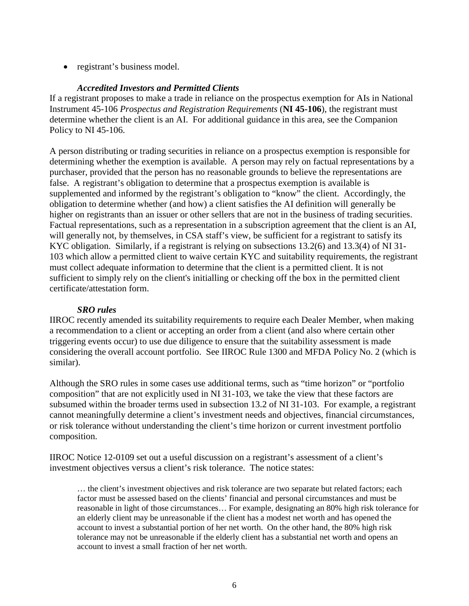• registrant's business model.

## *Accredited Investors and Permitted Clients*

If a registrant proposes to make a trade in reliance on the prospectus exemption for AIs in National Instrument 45-106 *Prospectus and Registration Requirements* (**NI 45-106**), the registrant must determine whether the client is an AI. For additional guidance in this area, see the Companion Policy to NI 45-106.

A person distributing or trading securities in reliance on a prospectus exemption is responsible for determining whether the exemption is available. A person may rely on factual representations by a purchaser, provided that the person has no reasonable grounds to believe the representations are false. A registrant's obligation to determine that a prospectus exemption is available is supplemented and informed by the registrant's obligation to "know" the client. Accordingly, the obligation to determine whether (and how) a client satisfies the AI definition will generally be higher on registrants than an issuer or other sellers that are not in the business of trading securities. Factual representations, such as a representation in a subscription agreement that the client is an AI, will generally not, by themselves, in CSA staff's view, be sufficient for a registrant to satisfy its KYC obligation. Similarly, if a registrant is relying on subsections 13.2(6) and 13.3(4) of NI 31- 103 which allow a permitted client to waive certain KYC and suitability requirements, the registrant must collect adequate information to determine that the client is a permitted client. It is not sufficient to simply rely on the client's initialling or checking off the box in the permitted client certificate/attestation form.

## *SRO rules*

IIROC recently amended its suitability requirements to require each Dealer Member, when making a recommendation to a client or accepting an order from a client (and also where certain other triggering events occur) to use due diligence to ensure that the suitability assessment is made considering the overall account portfolio. See IIROC Rule 1300 and MFDA Policy No. 2 (which is similar).

Although the SRO rules in some cases use additional terms, such as "time horizon" or "portfolio composition" that are not explicitly used in NI 31-103, we take the view that these factors are subsumed within the broader terms used in subsection 13.2 of NI 31-103. For example, a registrant cannot meaningfully determine a client's investment needs and objectives, financial circumstances, or risk tolerance without understanding the client's time horizon or current investment portfolio composition.

IIROC Notice 12-0109 set out a useful discussion on a registrant's assessment of a client's investment objectives versus a client's risk tolerance. The notice states:

… the client's investment objectives and risk tolerance are two separate but related factors; each factor must be assessed based on the clients' financial and personal circumstances and must be reasonable in light of those circumstances… For example, designating an 80% high risk tolerance for an elderly client may be unreasonable if the client has a modest net worth and has opened the account to invest a substantial portion of her net worth. On the other hand, the 80% high risk tolerance may not be unreasonable if the elderly client has a substantial net worth and opens an account to invest a small fraction of her net worth.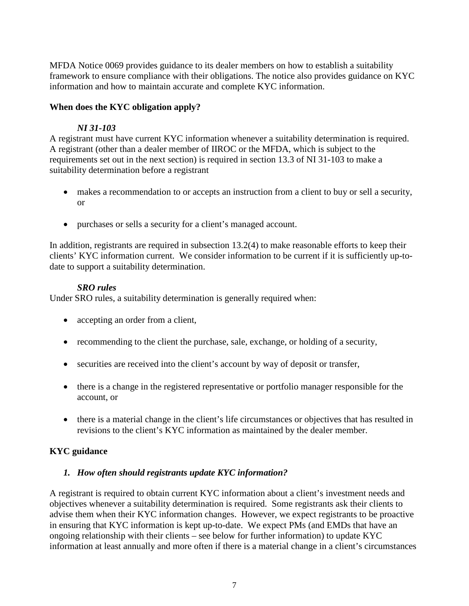MFDA Notice 0069 provides guidance to its dealer members on how to establish a suitability framework to ensure compliance with their obligations. The notice also provides guidance on KYC information and how to maintain accurate and complete KYC information.

# **When does the KYC obligation apply?**

# *NI 31-103*

A registrant must have current KYC information whenever a suitability determination is required. A registrant (other than a dealer member of IIROC or the MFDA, which is subject to the requirements set out in the next section) is required in section 13.3 of NI 31-103 to make a suitability determination before a registrant

- makes a recommendation to or accepts an instruction from a client to buy or sell a security, or
- purchases or sells a security for a client's managed account.

In addition, registrants are required in subsection 13.2(4) to make reasonable efforts to keep their clients' KYC information current. We consider information to be current if it is sufficiently up-todate to support a suitability determination.

# *SRO rules*

Under SRO rules, a suitability determination is generally required when:

- accepting an order from a client,
- recommending to the client the purchase, sale, exchange, or holding of a security,
- securities are received into the client's account by way of deposit or transfer,
- there is a change in the registered representative or portfolio manager responsible for the account, or
- there is a material change in the client's life circumstances or objectives that has resulted in revisions to the client's KYC information as maintained by the dealer member.

# **KYC guidance**

# *1. How often should registrants update KYC information?*

A registrant is required to obtain current KYC information about a client's investment needs and objectives whenever a suitability determination is required. Some registrants ask their clients to advise them when their KYC information changes. However, we expect registrants to be proactive in ensuring that KYC information is kept up-to-date. We expect PMs (and EMDs that have an ongoing relationship with their clients – see below for further information) to update KYC information at least annually and more often if there is a material change in a client's circumstances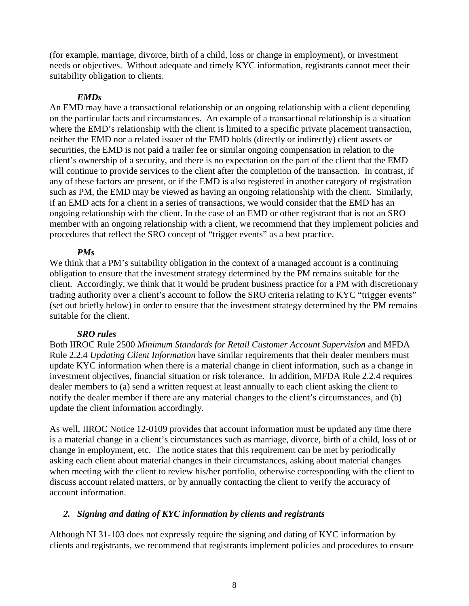(for example, marriage, divorce, birth of a child, loss or change in employment), or investment needs or objectives. Without adequate and timely KYC information, registrants cannot meet their suitability obligation to clients.

# *EMDs*

An EMD may have a transactional relationship or an ongoing relationship with a client depending on the particular facts and circumstances. An example of a transactional relationship is a situation where the EMD's relationship with the client is limited to a specific private placement transaction, neither the EMD nor a related issuer of the EMD holds (directly or indirectly) client assets or securities, the EMD is not paid a trailer fee or similar ongoing compensation in relation to the client's ownership of a security, and there is no expectation on the part of the client that the EMD will continue to provide services to the client after the completion of the transaction. In contrast, if any of these factors are present, or if the EMD is also registered in another category of registration such as PM, the EMD may be viewed as having an ongoing relationship with the client. Similarly, if an EMD acts for a client in a series of transactions, we would consider that the EMD has an ongoing relationship with the client. In the case of an EMD or other registrant that is not an SRO member with an ongoing relationship with a client, we recommend that they implement policies and procedures that reflect the SRO concept of "trigger events" as a best practice.

# *PMs*

We think that a PM's suitability obligation in the context of a managed account is a continuing obligation to ensure that the investment strategy determined by the PM remains suitable for the client. Accordingly, we think that it would be prudent business practice for a PM with discretionary trading authority over a client's account to follow the SRO criteria relating to KYC "trigger events" (set out briefly below) in order to ensure that the investment strategy determined by the PM remains suitable for the client.

# *SRO rules*

Both IIROC Rule 2500 *Minimum Standards for Retail Customer Account Supervision* and MFDA Rule 2.2.4 *Updating Client Information* have similar requirements that their dealer members must update KYC information when there is a material change in client information, such as a change in investment objectives, financial situation or risk tolerance. In addition, MFDA Rule 2.2.4 requires dealer members to (a) send a written request at least annually to each client asking the client to notify the dealer member if there are any material changes to the client's circumstances, and (b) update the client information accordingly.

As well, IIROC Notice 12-0109 provides that account information must be updated any time there is a material change in a client's circumstances such as marriage, divorce, birth of a child, loss of or change in employment, etc. The notice states that this requirement can be met by periodically asking each client about material changes in their circumstances, asking about material changes when meeting with the client to review his/her portfolio, otherwise corresponding with the client to discuss account related matters, or by annually contacting the client to verify the accuracy of account information.

# *2. Signing and dating of KYC information by clients and registrants*

Although NI 31-103 does not expressly require the signing and dating of KYC information by clients and registrants, we recommend that registrants implement policies and procedures to ensure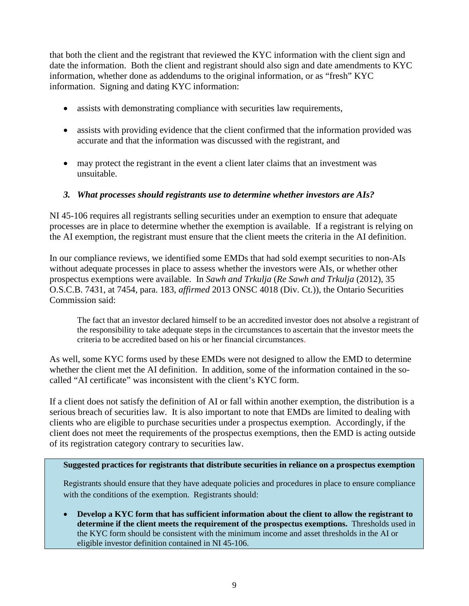that both the client and the registrant that reviewed the KYC information with the client sign and date the information. Both the client and registrant should also sign and date amendments to KYC information, whether done as addendums to the original information, or as "fresh" KYC information. Signing and dating KYC information:

- assists with demonstrating compliance with securities law requirements,
- assists with providing evidence that the client confirmed that the information provided was accurate and that the information was discussed with the registrant, and
- may protect the registrant in the event a client later claims that an investment was unsuitable.

# *3. What processes should registrants use to determine whether investors are AIs?*

NI 45-106 requires all registrants selling securities under an exemption to ensure that adequate processes are in place to determine whether the exemption is available. If a registrant is relying on the AI exemption, the registrant must ensure that the client meets the criteria in the AI definition.

In our compliance reviews, we identified some EMDs that had sold exempt securities to non-AIs without adequate processes in place to assess whether the investors were AIs, or whether other prospectus exemptions were available. In *Sawh and Trkulja* (*Re Sawh and Trkulja* (2012), 35 O.S.C.B. 7431, at 7454, para. 183, *affirmed* 2013 ONSC 4018 (Div. Ct.)), the Ontario Securities Commission said:

The fact that an investor declared himself to be an accredited investor does not absolve a registrant of the responsibility to take adequate steps in the circumstances to ascertain that the investor meets the criteria to be accredited based on his or her financial circumstances.

As well, some KYC forms used by these EMDs were not designed to allow the EMD to determine whether the client met the AI definition. In addition, some of the information contained in the socalled "AI certificate" was inconsistent with the client's KYC form.

If a client does not satisfy the definition of AI or fall within another exemption, the distribution is a serious breach of securities law. It is also important to note that EMDs are limited to dealing with clients who are eligible to purchase securities under a prospectus exemption. Accordingly, if the client does not meet the requirements of the prospectus exemptions, then the EMD is acting outside of its registration category contrary to securities law.

# **Suggested practices for registrants that distribute securities in reliance on a prospectus exemption**

Registrants should ensure that they have adequate policies and procedures in place to ensure compliance with the conditions of the exemption. Registrants should:

• **Develop a KYC form that has sufficient information about the client to allow the registrant to determine if the client meets the requirement of the prospectus exemptions.** Thresholds used in the KYC form should be consistent with the minimum income and asset thresholds in the AI or eligible investor definition contained in NI 45-106.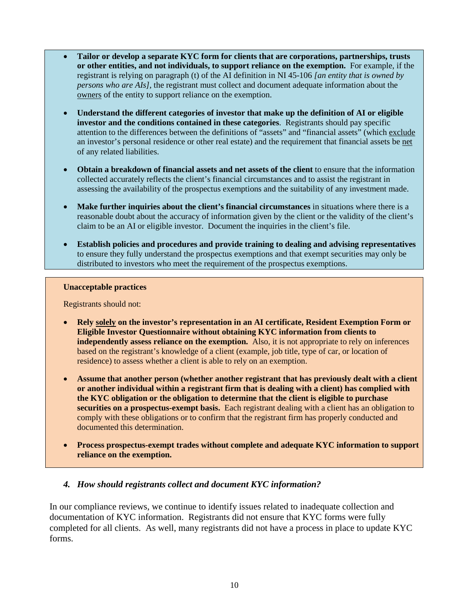- **Tailor or develop a separate KYC form for clients that are corporations, partnerships, trusts or other entities, and not individuals, to support reliance on the exemption.** For example, if the registrant is relying on paragraph (t) of the AI definition in NI 45-106 *[an entity that is owned by persons who are AIs]*, the registrant must collect and document adequate information about the owners of the entity to support reliance on the exemption.
- **Understand the different categories of investor that make up the definition of AI or eligible investor and the conditions contained in these categories**. Registrants should pay specific attention to the differences between the definitions of "assets" and "financial assets" (which exclude an investor's personal residence or other real estate) and the requirement that financial assets be net of any related liabilities.
- **Obtain a breakdown of financial assets and net assets of the client** to ensure that the information collected accurately reflects the client's financial circumstances and to assist the registrant in assessing the availability of the prospectus exemptions and the suitability of any investment made.
- **Make further inquiries about the client's financial circumstances** in situations where there is a reasonable doubt about the accuracy of information given by the client or the validity of the client's claim to be an AI or eligible investor. Document the inquiries in the client's file.
- **Establish policies and procedures and provide training to dealing and advising representatives** to ensure they fully understand the prospectus exemptions and that exempt securities may only be distributed to investors who meet the requirement of the prospectus exemptions.

#### **Unacceptable practices**

Registrants should not:

- **Rely solely on the investor's representation in an AI certificate, Resident Exemption Form or Eligible Investor Questionnaire without obtaining KYC information from clients to independently assess reliance on the exemption.** Also, it is not appropriate to rely on inferences based on the registrant's knowledge of a client (example, job title, type of car, or location of residence) to assess whether a client is able to rely on an exemption.
- **Assume that another person (whether another registrant that has previously dealt with a client or another individual within a registrant firm that is dealing with a client) has complied with the KYC obligation or the obligation to determine that the client is eligible to purchase securities on a prospectus-exempt basis.** Each registrant dealing with a client has an obligation to comply with these obligations or to confirm that the registrant firm has properly conducted and documented this determination.
- **Process prospectus-exempt trades without complete and adequate KYC information to support reliance on the exemption.**

# *4. How should registrants collect and document KYC information?*

In our compliance reviews, we continue to identify issues related to inadequate collection and documentation of KYC information. Registrants did not ensure that KYC forms were fully completed for all clients. As well, many registrants did not have a process in place to update KYC forms.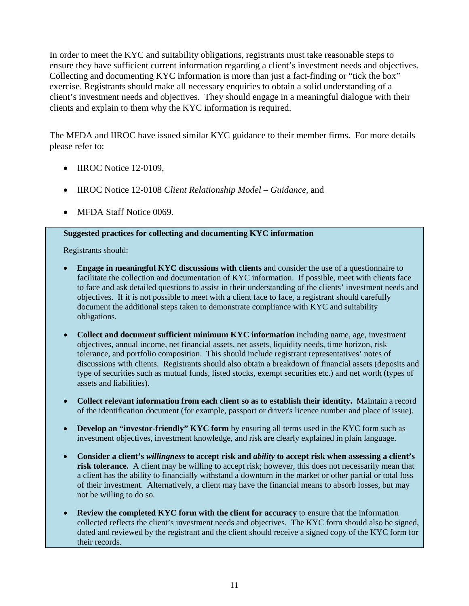In order to meet the KYC and suitability obligations, registrants must take reasonable steps to ensure they have sufficient current information regarding a client's investment needs and objectives. Collecting and documenting KYC information is more than just a fact-finding or "tick the box" exercise. Registrants should make all necessary enquiries to obtain a solid understanding of a client's investment needs and objectives. They should engage in a meaningful dialogue with their clients and explain to them why the KYC information is required.

The MFDA and IIROC have issued similar KYC guidance to their member firms. For more details please refer to:

- IIROC Notice 12-0109,
- IIROC Notice 12-0108 *Client Relationship Model – Guidance*, and
- MFDA Staff Notice 0069*.*

#### **Suggested practices for collecting and documenting KYC information**

Registrants should:

- **Engage in meaningful KYC discussions with clients** and consider the use of a questionnaire to facilitate the collection and documentation of KYC information. If possible, meet with clients face to face and ask detailed questions to assist in their understanding of the clients' investment needs and objectives. If it is not possible to meet with a client face to face, a registrant should carefully document the additional steps taken to demonstrate compliance with KYC and suitability obligations.
- **Collect and document sufficient minimum KYC information** including name, age, investment objectives, annual income, net financial assets, net assets, liquidity needs, time horizon, risk tolerance, and portfolio composition. This should include registrant representatives' notes of discussions with clients. Registrants should also obtain a breakdown of financial assets (deposits and type of securities such as mutual funds, listed stocks, exempt securities etc.) and net worth (types of assets and liabilities).
- **Collect relevant information from each client so as to establish their identity.** Maintain a record of the identification document (for example, passport or driver's licence number and place of issue).
- **Develop an "investor-friendly" KYC form** by ensuring all terms used in the KYC form such as investment objectives, investment knowledge, and risk are clearly explained in plain language.
- **Consider a client's** *willingness* **to accept risk and** *ability* **to accept risk when assessing a client's risk tolerance.** A client may be willing to accept risk; however, this does not necessarily mean that a client has the ability to financially withstand a downturn in the market or other partial or total loss of their investment. Alternatively, a client may have the financial means to absorb losses, but may not be willing to do so.
- **Review the completed KYC form with the client for accuracy** to ensure that the information collected reflects the client's investment needs and objectives. The KYC form should also be signed, dated and reviewed by the registrant and the client should receive a signed copy of the KYC form for their records.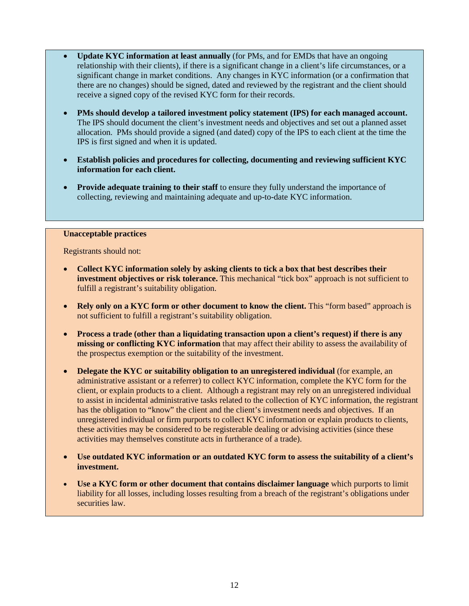- **Update KYC information at least annually** (for PMs, and for EMDs that have an ongoing relationship with their clients), if there is a significant change in a client's life circumstances, or a significant change in market conditions. Any changes in KYC information (or a confirmation that there are no changes) should be signed, dated and reviewed by the registrant and the client should receive a signed copy of the revised KYC form for their records.
- **PMs should develop a tailored investment policy statement (IPS) for each managed account.** The IPS should document the client's investment needs and objectives and set out a planned asset allocation. PMs should provide a signed (and dated) copy of the IPS to each client at the time the IPS is first signed and when it is updated.
- **Establish policies and procedures for collecting, documenting and reviewing sufficient KYC information for each client.**
- **Provide adequate training to their staff** to ensure they fully understand the importance of collecting, reviewing and maintaining adequate and up-to-date KYC information.

#### **Unacceptable practices**

Registrants should not:

- **Collect KYC information solely by asking clients to tick a box that best describes their investment objectives or risk tolerance.** This mechanical "tick box" approach is not sufficient to fulfill a registrant's suitability obligation.
- **Rely only on a KYC form or other document to know the client.** This "form based" approach is not sufficient to fulfill a registrant's suitability obligation.
- **Process a trade (other than a liquidating transaction upon a client's request) if there is any missing or conflicting KYC information** that may affect their ability to assess the availability of the prospectus exemption or the suitability of the investment.
- **Delegate the KYC or suitability obligation to an unregistered individual** (for example, an administrative assistant or a referrer) to collect KYC information, complete the KYC form for the client, or explain products to a client. Although a registrant may rely on an unregistered individual to assist in incidental administrative tasks related to the collection of KYC information, the registrant has the obligation to "know" the client and the client's investment needs and objectives. If an unregistered individual or firm purports to collect KYC information or explain products to clients, these activities may be considered to be registerable dealing or advising activities (since these activities may themselves constitute acts in furtherance of a trade).
- **Use outdated KYC information or an outdated KYC form to assess the suitability of a client's investment.**
- **Use a KYC form or other document that contains disclaimer language** which purports to limit liability for all losses, including losses resulting from a breach of the registrant's obligations under securities law.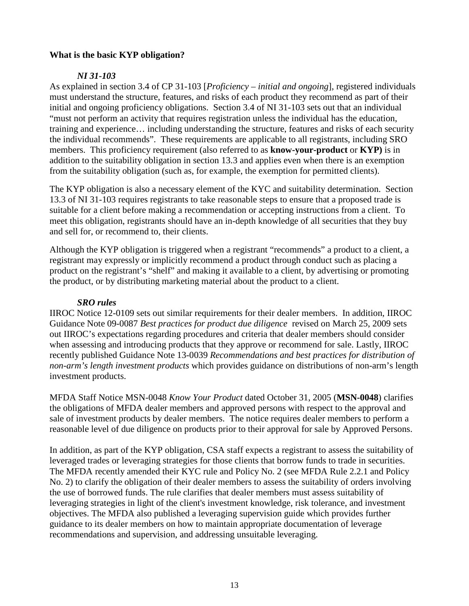# **What is the basic KYP obligation?**

# *NI 31-103*

As explained in section 3.4 of CP 31-103 [*Proficiency – initial and ongoing*], registered individuals must understand the structure, features, and risks of each product they recommend as part of their initial and ongoing proficiency obligations. Section 3.4 of NI 31-103 sets out that an individual "must not perform an activity that requires registration unless the individual has the education, training and experience… including understanding the structure, features and risks of each security the individual recommends". These requirements are applicable to all registrants, including SRO members. This proficiency requirement (also referred to as **know-your-product** or **KYP)** is in addition to the suitability obligation in section 13.3 and applies even when there is an exemption from the suitability obligation (such as, for example, the exemption for permitted clients).

The KYP obligation is also a necessary element of the KYC and suitability determination. Section 13.3 of NI 31-103 requires registrants to take reasonable steps to ensure that a proposed trade is suitable for a client before making a recommendation or accepting instructions from a client. To meet this obligation, registrants should have an in-depth knowledge of all securities that they buy and sell for, or recommend to, their clients.

Although the KYP obligation is triggered when a registrant "recommends" a product to a client, a registrant may expressly or implicitly recommend a product through conduct such as placing a product on the registrant's "shelf" and making it available to a client, by advertising or promoting the product, or by distributing marketing material about the product to a client.

## *SRO rules*

IIROC Notice 12-0109 sets out similar requirements for their dealer members. In addition, IIROC Guidance Note 09-0087 *Best practices for product due diligence* revised on March 25, 2009 sets out IIROC's expectations regarding procedures and criteria that dealer members should consider when assessing and introducing products that they approve or recommend for sale. Lastly, IIROC recently published Guidance Note 13-0039 *Recommendations and best practices for distribution of non-arm's length investment products* which provides guidance on distributions of non-arm's length investment products.

MFDA Staff Notice MSN-0048 *Know Your Product* dated October 31, 2005 (**MSN-0048**) clarifies the obligations of MFDA dealer members and approved persons with respect to the approval and sale of investment products by dealer members. The notice requires dealer members to perform a reasonable level of due diligence on products prior to their approval for sale by Approved Persons.

In addition, as part of the KYP obligation, CSA staff expects a registrant to assess the suitability of leveraged trades or leveraging strategies for those clients that borrow funds to trade in securities. The MFDA recently amended their KYC rule and Policy No. 2 (see MFDA Rule 2.2.1 and Policy No. 2) to clarify the obligation of their dealer members to assess the suitability of orders involving the use of borrowed funds. The rule clarifies that dealer members must assess suitability of leveraging strategies in light of the client's investment knowledge, risk tolerance, and investment objectives. The MFDA also published a leveraging supervision guide which provides further guidance to its dealer members on how to maintain appropriate documentation of leverage recommendations and supervision, and addressing unsuitable leveraging.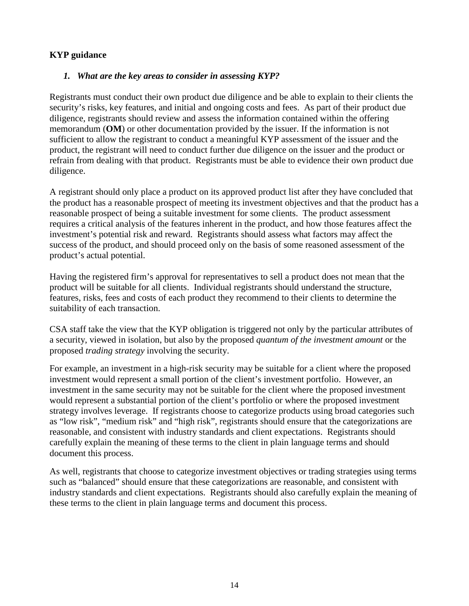# **KYP guidance**

# *1. What are the key areas to consider in assessing KYP?*

Registrants must conduct their own product due diligence and be able to explain to their clients the security's risks, key features, and initial and ongoing costs and fees. As part of their product due diligence, registrants should review and assess the information contained within the offering memorandum (**OM**) or other documentation provided by the issuer. If the information is not sufficient to allow the registrant to conduct a meaningful KYP assessment of the issuer and the product, the registrant will need to conduct further due diligence on the issuer and the product or refrain from dealing with that product. Registrants must be able to evidence their own product due diligence.

A registrant should only place a product on its approved product list after they have concluded that the product has a reasonable prospect of meeting its investment objectives and that the product has a reasonable prospect of being a suitable investment for some clients. The product assessment requires a critical analysis of the features inherent in the product, and how those features affect the investment's potential risk and reward. Registrants should assess what factors may affect the success of the product, and should proceed only on the basis of some reasoned assessment of the product's actual potential.

Having the registered firm's approval for representatives to sell a product does not mean that the product will be suitable for all clients. Individual registrants should understand the structure, features, risks, fees and costs of each product they recommend to their clients to determine the suitability of each transaction.

CSA staff take the view that the KYP obligation is triggered not only by the particular attributes of a security, viewed in isolation, but also by the proposed *quantum of the investment amount* or the proposed *trading strategy* involving the security.

For example, an investment in a high-risk security may be suitable for a client where the proposed investment would represent a small portion of the client's investment portfolio. However, an investment in the same security may not be suitable for the client where the proposed investment would represent a substantial portion of the client's portfolio or where the proposed investment strategy involves leverage. If registrants choose to categorize products using broad categories such as "low risk", "medium risk" and "high risk", registrants should ensure that the categorizations are reasonable, and consistent with industry standards and client expectations. Registrants should carefully explain the meaning of these terms to the client in plain language terms and should document this process.

As well, registrants that choose to categorize investment objectives or trading strategies using terms such as "balanced" should ensure that these categorizations are reasonable, and consistent with industry standards and client expectations. Registrants should also carefully explain the meaning of these terms to the client in plain language terms and document this process.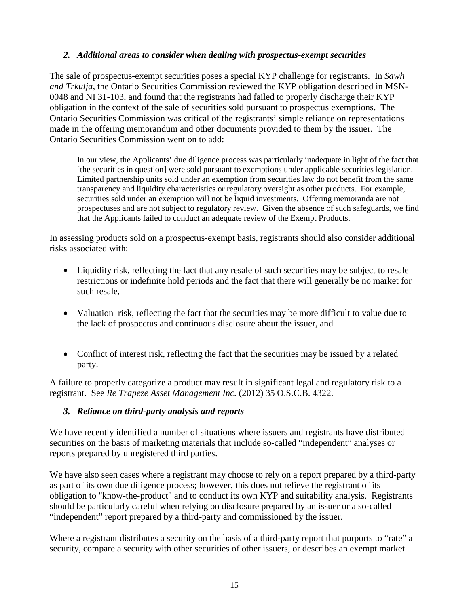# *2. Additional areas to consider when dealing with prospectus-exempt securities*

The sale of prospectus-exempt securities poses a special KYP challenge for registrants. In *Sawh and Trkulja*, the Ontario Securities Commission reviewed the KYP obligation described in MSN-0048 and NI 31-103, and found that the registrants had failed to properly discharge their KYP obligation in the context of the sale of securities sold pursuant to prospectus exemptions. The Ontario Securities Commission was critical of the registrants' simple reliance on representations made in the offering memorandum and other documents provided to them by the issuer. The Ontario Securities Commission went on to add:

In our view, the Applicants' due diligence process was particularly inadequate in light of the fact that [the securities in question] were sold pursuant to exemptions under applicable securities legislation. Limited partnership units sold under an exemption from securities law do not benefit from the same transparency and liquidity characteristics or regulatory oversight as other products. For example, securities sold under an exemption will not be liquid investments. Offering memoranda are not prospectuses and are not subject to regulatory review. Given the absence of such safeguards, we find that the Applicants failed to conduct an adequate review of the Exempt Products.

In assessing products sold on a prospectus-exempt basis, registrants should also consider additional risks associated with:

- Liquidity risk, reflecting the fact that any resale of such securities may be subject to resale restrictions or indefinite hold periods and the fact that there will generally be no market for such resale,
- Valuation risk, reflecting the fact that the securities may be more difficult to value due to the lack of prospectus and continuous disclosure about the issuer, and
- Conflict of interest risk, reflecting the fact that the securities may be issued by a related party.

A failure to properly categorize a product may result in significant legal and regulatory risk to a registrant. See *Re Trapeze Asset Management Inc.* (2012) 35 O.S.C.B. 4322.

# *3. Reliance on third-party analysis and reports*

We have recently identified a number of situations where issuers and registrants have distributed securities on the basis of marketing materials that include so-called "independent" analyses or reports prepared by unregistered third parties.

We have also seen cases where a registrant may choose to rely on a report prepared by a third-party as part of its own due diligence process; however, this does not relieve the registrant of its obligation to "know-the-product" and to conduct its own KYP and suitability analysis. Registrants should be particularly careful when relying on disclosure prepared by an issuer or a so-called "independent" report prepared by a third-party and commissioned by the issuer.

Where a registrant distributes a security on the basis of a third-party report that purports to "rate" a security, compare a security with other securities of other issuers, or describes an exempt market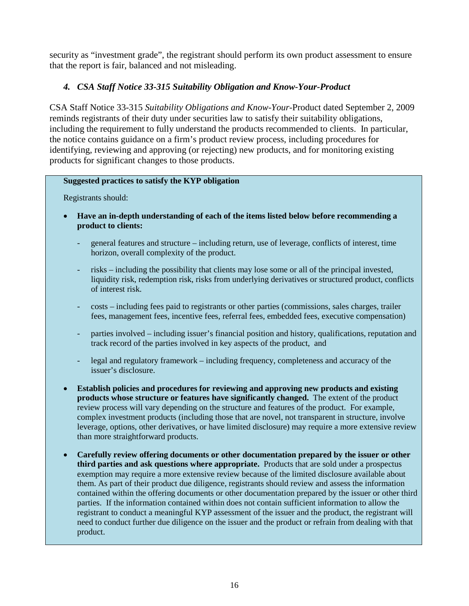security as "investment grade", the registrant should perform its own product assessment to ensure that the report is fair, balanced and not misleading.

# *4. CSA Staff Notice 33-315 Suitability Obligation and Know-Your-Product*

CSA Staff Notice 33-315 *Suitability Obligations and Know-Your-*Product dated September 2, 2009 reminds registrants of their duty under securities law to satisfy their suitability obligations, including the requirement to fully understand the products recommended to clients. In particular, the notice contains guidance on a firm's product review process, including procedures for identifying, reviewing and approving (or rejecting) new products, and for monitoring existing products for significant changes to those products.

#### **Suggested practices to satisfy the KYP obligation**

Registrants should:

- **Have an in-depth understanding of each of the items listed below before recommending a product to clients:**
	- general features and structure including return, use of leverage, conflicts of interest, time horizon, overall complexity of the product.
	- risks including the possibility that clients may lose some or all of the principal invested, liquidity risk, redemption risk, risks from underlying derivatives or structured product, conflicts of interest risk.
	- costs including fees paid to registrants or other parties (commissions, sales charges, trailer fees, management fees, incentive fees, referral fees, embedded fees, executive compensation)
	- parties involved including issuer's financial position and history, qualifications, reputation and track record of the parties involved in key aspects of the product, and
	- legal and regulatory framework including frequency, completeness and accuracy of the issuer's disclosure.
- **Establish policies and procedures for reviewing and approving new products and existing products whose structure or features have significantly changed.** The extent of the product review process will vary depending on the structure and features of the product. For example, complex investment products (including those that are novel, not transparent in structure, involve leverage, options, other derivatives, or have limited disclosure) may require a more extensive review than more straightforward products.
- **Carefully review offering documents or other documentation prepared by the issuer or other third parties and ask questions where appropriate.** Products that are sold under a prospectus exemption may require a more extensive review because of the limited disclosure available about them. As part of their product due diligence, registrants should review and assess the information contained within the offering documents or other documentation prepared by the issuer or other third parties. If the information contained within does not contain sufficient information to allow the registrant to conduct a meaningful KYP assessment of the issuer and the product, the registrant will need to conduct further due diligence on the issuer and the product or refrain from dealing with that product.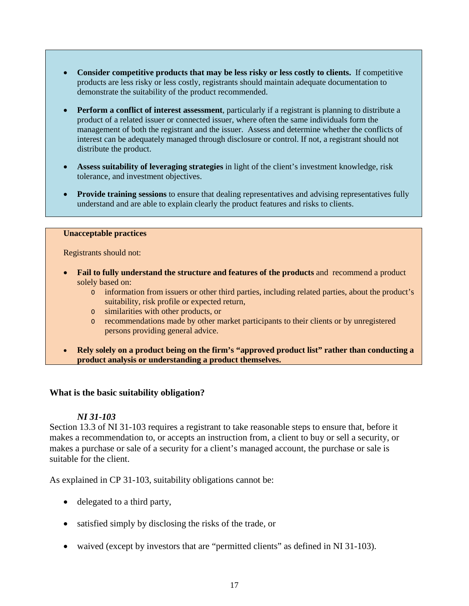- **Consider competitive products that may be less risky or less costly to clients.** If competitive products are less risky or less costly, registrants should maintain adequate documentation to demonstrate the suitability of the product recommended.
- **Perform a conflict of interest assessment**, particularly if a registrant is planning to distribute a product of a related issuer or connected issuer, where often the same individuals form the management of both the registrant and the issuer. Assess and determine whether the conflicts of interest can be adequately managed through disclosure or control. If not, a registrant should not distribute the product.
- **Assess suitability of leveraging strategies** in light of the client's investment knowledge, risk tolerance, and investment objectives.
- **Provide training sessions** to ensure that dealing representatives and advising representatives fully understand and are able to explain clearly the product features and risks to clients.

#### **Unacceptable practices**

Registrants should not:

- **Fail to fully understand the structure and features of the products** and recommend a product solely based on:
	- o information from issuers or other third parties, including related parties, about the product's suitability, risk profile or expected return,
	- o similarities with other products, or
	- o recommendations made by other market participants to their clients or by unregistered persons providing general advice.
- **Rely solely on a product being on the firm's "approved product list" rather than conducting a product analysis or understanding a product themselves.**

## **What is the basic suitability obligation?**

#### *NI 31-103*

Section 13.3 of NI 31-103 requires a registrant to take reasonable steps to ensure that, before it makes a recommendation to, or accepts an instruction from, a client to buy or sell a security, or makes a purchase or sale of a security for a client's managed account, the purchase or sale is suitable for the client.

As explained in CP 31-103, suitability obligations cannot be:

- delegated to a third party,
- satisfied simply by disclosing the risks of the trade, or
- waived (except by investors that are "permitted clients" as defined in NI 31-103).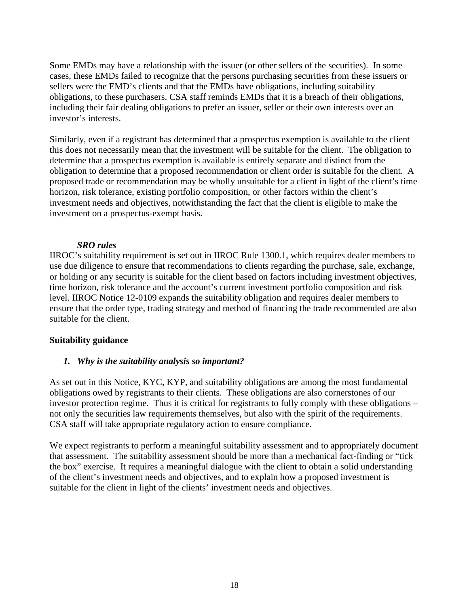Some EMDs may have a relationship with the issuer (or other sellers of the securities). In some cases, these EMDs failed to recognize that the persons purchasing securities from these issuers or sellers were the EMD's clients and that the EMDs have obligations, including suitability obligations, to these purchasers. CSA staff reminds EMDs that it is a breach of their obligations, including their fair dealing obligations to prefer an issuer, seller or their own interests over an investor's interests.

Similarly, even if a registrant has determined that a prospectus exemption is available to the client this does not necessarily mean that the investment will be suitable for the client. The obligation to determine that a prospectus exemption is available is entirely separate and distinct from the obligation to determine that a proposed recommendation or client order is suitable for the client. A proposed trade or recommendation may be wholly unsuitable for a client in light of the client's time horizon, risk tolerance, existing portfolio composition, or other factors within the client's investment needs and objectives, notwithstanding the fact that the client is eligible to make the investment on a prospectus-exempt basis.

## *SRO rules*

IIROC's suitability requirement is set out in IIROC Rule 1300.1, which requires dealer members to use due diligence to ensure that recommendations to clients regarding the purchase, sale, exchange, or holding or any security is suitable for the client based on factors including investment objectives, time horizon, risk tolerance and the account's current investment portfolio composition and risk level. IIROC Notice 12-0109 expands the suitability obligation and requires dealer members to ensure that the order type, trading strategy and method of financing the trade recommended are also suitable for the client.

## **Suitability guidance**

# *1. Why is the suitability analysis so important?*

As set out in this Notice, KYC, KYP, and suitability obligations are among the most fundamental obligations owed by registrants to their clients. These obligations are also cornerstones of our investor protection regime. Thus it is critical for registrants to fully comply with these obligations – not only the securities law requirements themselves, but also with the spirit of the requirements. CSA staff will take appropriate regulatory action to ensure compliance.

We expect registrants to perform a meaningful suitability assessment and to appropriately document that assessment. The suitability assessment should be more than a mechanical fact-finding or "tick the box" exercise. It requires a meaningful dialogue with the client to obtain a solid understanding of the client's investment needs and objectives, and to explain how a proposed investment is suitable for the client in light of the clients' investment needs and objectives.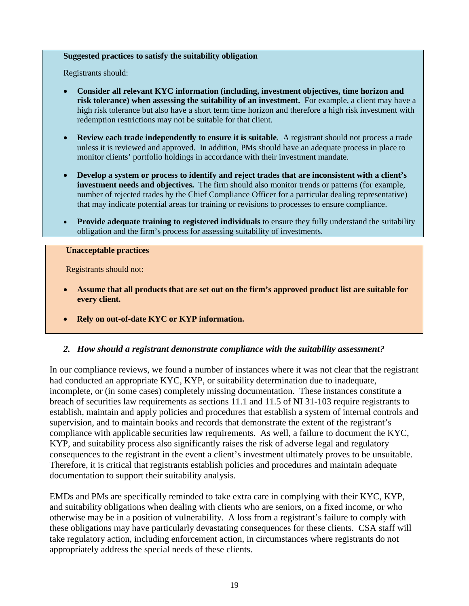#### **Suggested practices to satisfy the suitability obligation**

Registrants should:

- **Consider all relevant KYC information (including, investment objectives, time horizon and risk tolerance) when assessing the suitability of an investment.** For example, a client may have a high risk tolerance but also have a short term time horizon and therefore a high risk investment with redemption restrictions may not be suitable for that client.
- **Review each trade independently to ensure it is suitable.** A registrant should not process a trade unless it is reviewed and approved. In addition, PMs should have an adequate process in place to monitor clients' portfolio holdings in accordance with their investment mandate.
- **Develop a system or process to identify and reject trades that are inconsistent with a client's investment needs and objectives.** The firm should also monitor trends or patterns (for example, number of rejected trades by the Chief Compliance Officer for a particular dealing representative) that may indicate potential areas for training or revisions to processes to ensure compliance.
- **Provide adequate training to registered individuals** to ensure they fully understand the suitability obligation and the firm's process for assessing suitability of investments.

#### **Unacceptable practices**

Registrants should not:

- **Assume that all products that are set out on the firm's approved product list are suitable for every client.**
- **Rely on out-of-date KYC or KYP information.**

## *2. How should a registrant demonstrate compliance with the suitability assessment?*

In our compliance reviews, we found a number of instances where it was not clear that the registrant had conducted an appropriate KYC, KYP, or suitability determination due to inadequate, incomplete, or (in some cases) completely missing documentation. These instances constitute a breach of securities law requirements as sections 11.1 and 11.5 of NI 31-103 require registrants to establish, maintain and apply policies and procedures that establish a system of internal controls and supervision, and to maintain books and records that demonstrate the extent of the registrant's compliance with applicable securities law requirements. As well, a failure to document the KYC, KYP, and suitability process also significantly raises the risk of adverse legal and regulatory consequences to the registrant in the event a client's investment ultimately proves to be unsuitable. Therefore, it is critical that registrants establish policies and procedures and maintain adequate documentation to support their suitability analysis.

EMDs and PMs are specifically reminded to take extra care in complying with their KYC, KYP, and suitability obligations when dealing with clients who are seniors, on a fixed income, or who otherwise may be in a position of vulnerability. A loss from a registrant's failure to comply with these obligations may have particularly devastating consequences for these clients. CSA staff will take regulatory action, including enforcement action, in circumstances where registrants do not appropriately address the special needs of these clients.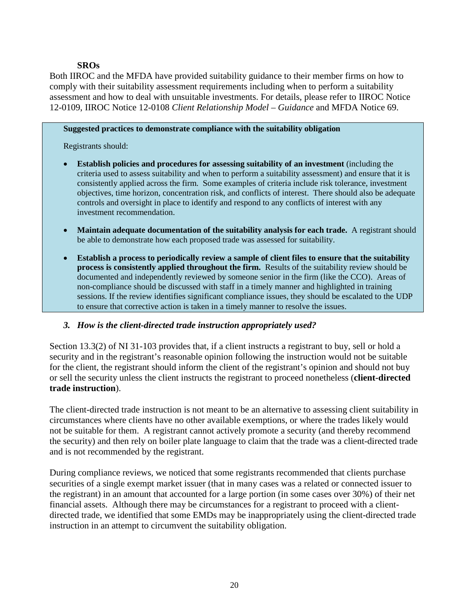# **SROs**

Both IIROC and the MFDA have provided suitability guidance to their member firms on how to comply with their suitability assessment requirements including when to perform a suitability assessment and how to deal with unsuitable investments. For details, please refer to IIROC Notice 12-0109, IIROC Notice 12-0108 *Client Relationship Model – Guidance* and MFDA Notice 69.

# **Suggested practices to demonstrate compliance with the suitability obligation**

Registrants should:

- **Establish policies and procedures for assessing suitability of an investment** (including the criteria used to assess suitability and when to perform a suitability assessment) and ensure that it is consistently applied across the firm. Some examples of criteria include risk tolerance, investment objectives, time horizon, concentration risk, and conflicts of interest. There should also be adequate controls and oversight in place to identify and respond to any conflicts of interest with any investment recommendation.
- Maintain adequate documentation of the suitability analysis for each trade. A registrant should be able to demonstrate how each proposed trade was assessed for suitability.
- **Establish a process to periodically review a sample of client files to ensure that the suitability process is consistently applied throughout the firm.** Results of the suitability review should be documented and independently reviewed by someone senior in the firm (like the CCO). Areas of non-compliance should be discussed with staff in a timely manner and highlighted in training sessions. If the review identifies significant compliance issues, they should be escalated to the UDP to ensure that corrective action is taken in a timely manner to resolve the issues.

# *3. How is the client-directed trade instruction appropriately used?*

Section 13.3(2) of NI 31-103 provides that, if a client instructs a registrant to buy, sell or hold a security and in the registrant's reasonable opinion following the instruction would not be suitable for the client, the registrant should inform the client of the registrant's opinion and should not buy or sell the security unless the client instructs the registrant to proceed nonetheless (**client-directed trade instruction**).

The client-directed trade instruction is not meant to be an alternative to assessing client suitability in circumstances where clients have no other available exemptions, or where the trades likely would not be suitable for them. A registrant cannot actively promote a security (and thereby recommend the security) and then rely on boiler plate language to claim that the trade was a client-directed trade and is not recommended by the registrant.

During compliance reviews, we noticed that some registrants recommended that clients purchase securities of a single exempt market issuer (that in many cases was a related or connected issuer to the registrant) in an amount that accounted for a large portion (in some cases over 30%) of their net financial assets. Although there may be circumstances for a registrant to proceed with a clientdirected trade, we identified that some EMDs may be inappropriately using the client-directed trade instruction in an attempt to circumvent the suitability obligation.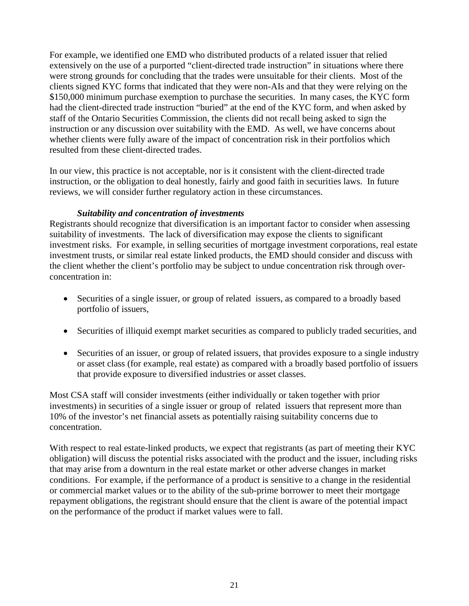For example, we identified one EMD who distributed products of a related issuer that relied extensively on the use of a purported "client-directed trade instruction" in situations where there were strong grounds for concluding that the trades were unsuitable for their clients. Most of the clients signed KYC forms that indicated that they were non-AIs and that they were relying on the \$150,000 minimum purchase exemption to purchase the securities. In many cases, the KYC form had the client-directed trade instruction "buried" at the end of the KYC form, and when asked by staff of the Ontario Securities Commission, the clients did not recall being asked to sign the instruction or any discussion over suitability with the EMD. As well, we have concerns about whether clients were fully aware of the impact of concentration risk in their portfolios which resulted from these client-directed trades.

In our view, this practice is not acceptable, nor is it consistent with the client-directed trade instruction, or the obligation to deal honestly, fairly and good faith in securities laws. In future reviews, we will consider further regulatory action in these circumstances.

## *Suitability and concentration of investments*

Registrants should recognize that diversification is an important factor to consider when assessing suitability of investments. The lack of diversification may expose the clients to significant investment risks. For example, in selling securities of mortgage investment corporations, real estate investment trusts, or similar real estate linked products, the EMD should consider and discuss with the client whether the client's portfolio may be subject to undue concentration risk through overconcentration in:

- Securities of a single issuer, or group of related issuers, as compared to a broadly based portfolio of issuers,
- Securities of illiquid exempt market securities as compared to publicly traded securities, and
- Securities of an issuer, or group of related issuers, that provides exposure to a single industry or asset class (for example, real estate) as compared with a broadly based portfolio of issuers that provide exposure to diversified industries or asset classes.

Most CSA staff will consider investments (either individually or taken together with prior investments) in securities of a single issuer or group of related issuers that represent more than 10% of the investor's net financial assets as potentially raising suitability concerns due to concentration.

With respect to real estate-linked products, we expect that registrants (as part of meeting their KYC obligation) will discuss the potential risks associated with the product and the issuer, including risks that may arise from a downturn in the real estate market or other adverse changes in market conditions. For example, if the performance of a product is sensitive to a change in the residential or commercial market values or to the ability of the sub-prime borrower to meet their mortgage repayment obligations, the registrant should ensure that the client is aware of the potential impact on the performance of the product if market values were to fall.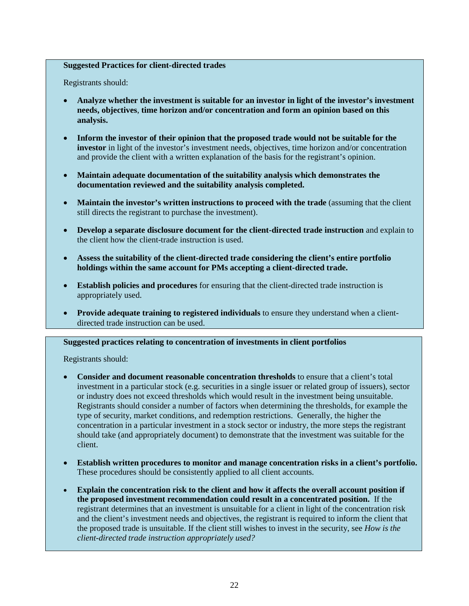#### **Suggested Practices for client-directed trades**

Registrants should:

- **Analyze whether the investment is suitable for an investor in light of the investor's investment needs, objectives**, **time horizon and/or concentration and form an opinion based on this analysis.**
- **Inform the investor of their opinion that the proposed trade would not be suitable for the investor** in light of the investor's investment needs, objectives, time horizon and/or concentration and provide the client with a written explanation of the basis for the registrant's opinion.
- **Maintain adequate documentation of the suitability analysis which demonstrates the documentation reviewed and the suitability analysis completed.**
- **Maintain the investor's written instructions to proceed with the trade** (assuming that the client still directs the registrant to purchase the investment).
- **Develop a separate disclosure document for the client-directed trade instruction** and explain to the client how the client-trade instruction is used.
- **Assess the suitability of the client-directed trade considering the client's entire portfolio holdings within the same account for PMs accepting a client-directed trade.**
- **Establish policies and procedures** for ensuring that the client-directed trade instruction is appropriately used.
- **Provide adequate training to registered individuals** to ensure they understand when a clientdirected trade instruction can be used.

#### **Suggested practices relating to concentration of investments in client portfolios**

Registrants should:

- **Consider and document reasonable concentration thresholds** to ensure that a client's total investment in a particular stock (e.g. securities in a single issuer or related group of issuers), sector or industry does not exceed thresholds which would result in the investment being unsuitable. Registrants should consider a number of factors when determining the thresholds, for example the type of security, market conditions, and redemption restrictions. Generally, the higher the concentration in a particular investment in a stock sector or industry, the more steps the registrant should take (and appropriately document) to demonstrate that the investment was suitable for the client.
- **Establish written procedures to monitor and manage concentration risks in a client's portfolio.**  These procedures should be consistently applied to all client accounts.
- **Explain the concentration risk to the client and how it affects the overall account position if the proposed investment recommendation could result in a concentrated position.** If the registrant determines that an investment is unsuitable for a client in light of the concentration risk and the client's investment needs and objectives, the registrant is required to inform the client that the proposed trade is unsuitable. If the client still wishes to invest in the security, see *How is the client-directed trade instruction appropriately used?*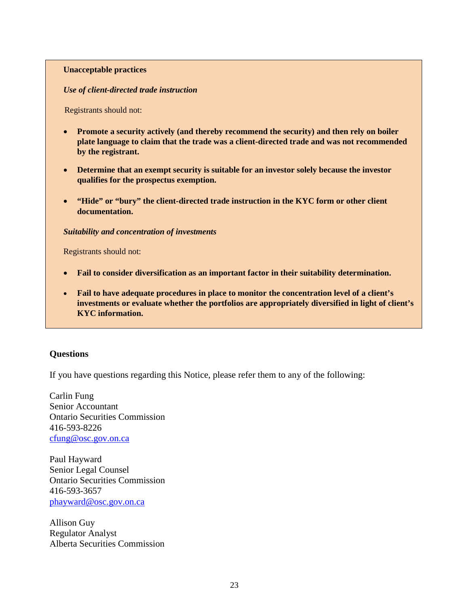#### **Unacceptable practices**

#### *Use of client-directed trade instruction*

Registrants should not:

- **Promote a security actively (and thereby recommend the security) and then rely on boiler plate language to claim that the trade was a client-directed trade and was not recommended by the registrant.**
- **Determine that an exempt security is suitable for an investor solely because the investor qualifies for the prospectus exemption.**
- **"Hide" or "bury" the client-directed trade instruction in the KYC form or other client documentation.**

#### *Suitability and concentration of investments*

Registrants should not:

- **Fail to consider diversification as an important factor in their suitability determination.**
- **Fail to have adequate procedures in place to monitor the concentration level of a client's investments or evaluate whether the portfolios are appropriately diversified in light of client's KYC information.**

## **Questions**

If you have questions regarding this Notice, please refer them to any of the following:

Carlin Fung Senior Accountant Ontario Securities Commission 416-593-8226 cfung@osc.gov.on.ca

Paul Hayward Senior Legal Counsel Ontario Securities Commission 416-593-3657 phayward@osc.gov.on.ca

Allison Guy Regulator Analyst Alberta Securities Commission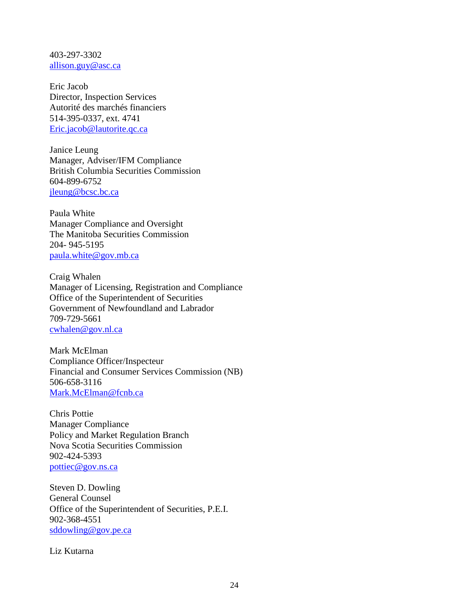403-297-3302 [allison.guy@asc.ca](mailto:allison.guy@asc.ca)

Eric Jacob Director, Inspection Services Autorité des marchés financiers 514-395-0337, ext. 4741 Eric.jacob@lautorite.qc.ca

Janice Leung Manager, Adviser/IFM Compliance British Columbia Securities Commission 604-899-6752 jleung@bcsc.bc.ca

Paula White Manager Compliance and Oversight The Manitoba Securities Commission 204- 945-5195 paula.white@gov.mb.ca

Craig Whalen Manager of Licensing, Registration and Compliance Office of the Superintendent of Securities Government of Newfoundland and Labrador 709-729-5661 cwhalen@gov.nl.ca

Mark McElman Compliance Officer/Inspecteur Financial and Consumer Services Commission (NB) 506-658-3116 Mark.McElman@fcnb.ca

Chris Pottie Manager Compliance Policy and Market Regulation Branch Nova Scotia Securities Commission 902-424-5393 pottiec@gov.ns.ca

Steven D. Dowling General Counsel Office of the Superintendent of Securities, P.E.I. 902-368-4551 sddowling@gov.pe.ca

Liz Kutarna